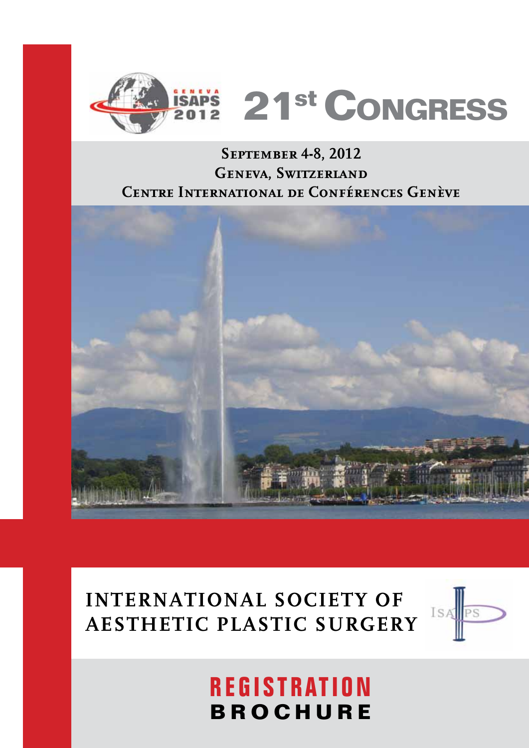

### **September 4-8, 2012 Geneva, Switzerland Centre International de Conférences Genève**



## **INTERNATIONAL SOCIETY OF AESTHETIC PLASTIC SURGERY**



# $REGISTRATION$ **BROCHURE**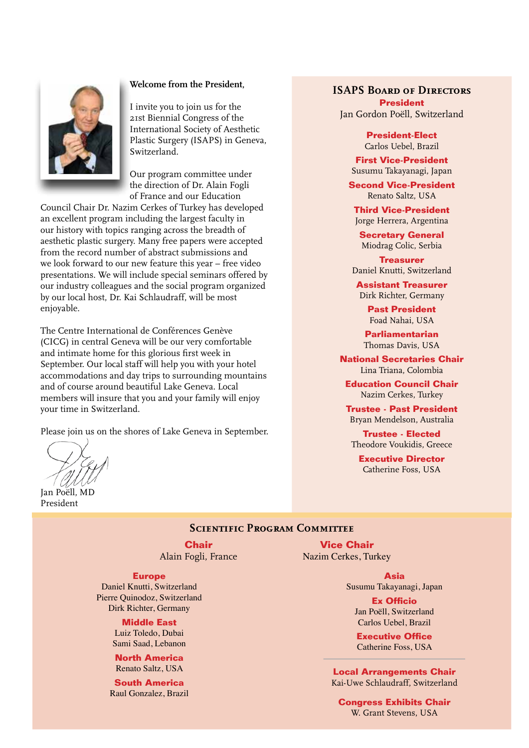

#### **Welcome from the President,**

I invite you to join us for the 21st Biennial Congress of the International Society of Aesthetic Plastic Surgery (ISAPS) in Geneva, Switzerland.

Our program committee under the direction of Dr. Alain Fogli of France and our Education

Council Chair Dr. Nazim Cerkes of Turkey has developed an excellent program including the largest faculty in our history with topics ranging across the breadth of aesthetic plastic surgery. Many free papers were accepted from the record number of abstract submissions and we look forward to our new feature this year – free video presentations. We will include special seminars offered by our industry colleagues and the social program organized by our local host, Dr. Kai Schlaudraff, will be most enjoyable.

The Centre International de Conférences Genève (CICG) in central Geneva will be our very comfortable and intimate home for this glorious first week in September. Our local staff will help you with your hotel accommodations and day trips to surrounding mountains and of course around beautiful Lake Geneva. Local members will insure that you and your family will enjoy your time in Switzerland.

Please join us on the shores of Lake Geneva in September.

Jan Poëll, MD

.<br>President

#### **ISAPS Board of Directors President**

Jan Gordon Poëll, Switzerland

**President-Elect** Carlos Uebel, Brazil

**First Vice-President** Susumu Takayanagi, Japan

**Second Vice-President** Renato Saltz, USA

**Third Vice-President** Jorge Herrera, Argentina

**Secretary General** Miodrag Colic, Serbia

**Treasurer** Daniel Knutti, Switzerland

**Assistant Treasurer** Dirk Richter, Germany

> **Past President** Foad Nahai, USA

**Parliamentarian** Thomas Davis, USA

**National Secretaries Chair** Lina Triana, Colombia

**Education Council Chair** Nazim Cerkes, Turkey

**Trustee - Past President** Bryan Mendelson, Australia

**Trustee - Elected** Theodore Voukidis, Greece

**Executive Director** Catherine Foss, USA

### **SCIENTIFIC PROGRAM COMMITTEE**

**Chair** Alain Fogli, France

#### **Europe**

Daniel Knutti, Switzerland Pierre Quinodoz, Switzerland Dirk Richter, Germany

> **Middle East** Luiz Toledo, Dubai Sami Saad, Lebanon

**North America** Renato Saltz, USA

**South America** Raul Gonzalez, Brazil

**Vice Chair** Nazim Cerkes, Turkey

> **Asia** Susumu Takayanagi, Japan

> > **Ex Officio** Jan Poëll, Switzerland Carlos Hebel Brazil

**Executive Office** Catherine Foss, USA

**Local Arrangements Chair** Kai-Uwe Schlaudraff, Switzerland

**Congress Exhibits Chair** W. Grant Stevens, USA